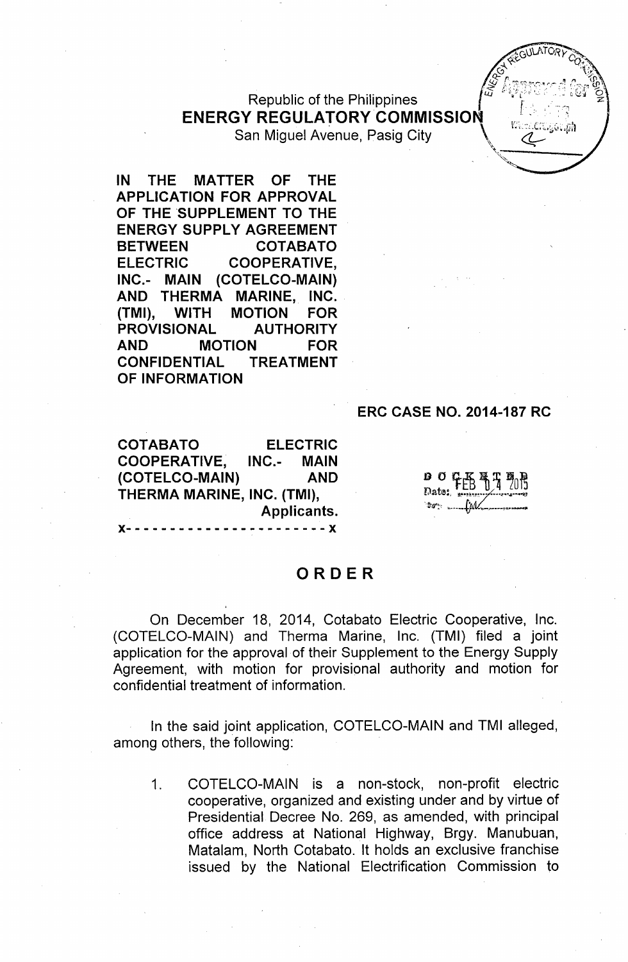# Republic of the Philippines **ENERGY REGULATORY COMMISSION** San Miguel Avenue, Pasig City \~

**IN THE MATTER OF THE APPLICATION FOR APPROVAL OF THE 'SUPPLEMENT TO THE ENERGY SUPPLY AGREEMENT BETWEEN COTABATO ELECTRIC COOPERATIVE, INC.- MAIN (COTELCO-MAIN) AND THERMA MARINE, INC. (TMI), WITH MOTION FOR PROVISIONAL AUTHORITY AND MOTION FOR CONFIDENTIAL TREATMENT OF INFORMATION**

#### **ERC CASE NO. 2014-187 RC**

**COTABATO ELECTRIC COOPERATIVE, INC.- MAIN (COTELCO-MAIN) AND THERMA MARINE, INC. (TMI), Applicants. )(- - - - - - - - - - - - - - - - - - - - - - - )(**

 $\sqrt{\frac{2}{\pi}}$ '"

# **ORDER**

On December 18, 2014, Cotabato Electric Cooperative, Inc. (COTELCO-MAIN) and Therma Marine, Inc. (TMI) filed a joint application for the approval of their Supplement to the Energy Supply Agreement, with motion for provisional authority and motion for confidential treatment of information.

In the said joint application, COTELCO-MAIN and TMI alleged, among others, the following:

1. COTELCO-MAIN is a non-stock, non-profit electric cooperative, organized and existing under and by virtue of Presidential Decree No. 269, as amended, with principal office address at National Highway, Brgy. Manubuan, Matalam, North Cotabato. It holds an exclusive franchise issued by the National Electrification Commission to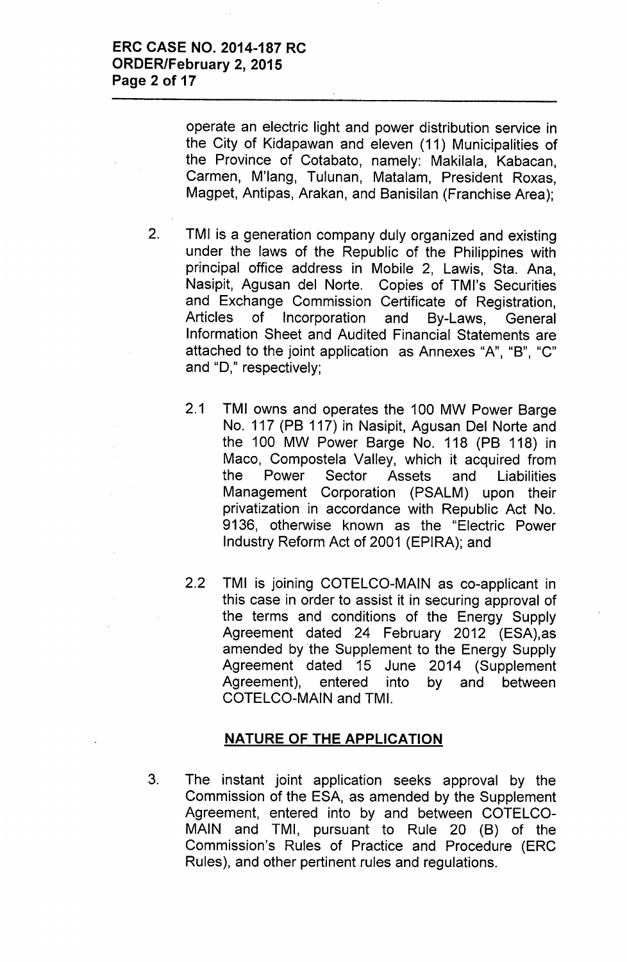operate an electric light and power distribution service in the City of Kidapawan and eleven (11) Municipalities of the Province of Cotabato, namely: Makilala, Kabacan, Carmen, M'lang, Tulunan, Matalam, President Roxas, Magpet, Antipas, Arakan, and Banisilan (Franchise Area);

- 2. TMI is a generation company duly organized and existing under the laws of the Republic of the Philippines with principal office address in Mobile 2, Lawis, Sta. Ana, Nasipit, Agusan del Norte. Copies of TMl's Securities and Exchange Commission Certificate of Registration, Articles of Incorporation and By-Laws, General Information Sheet and Audited Financial Statements are attached to the joint application as Annexes "A", "B", "C" and  $"D,"$  respectively;
	- 2.1 TMI owns and operates the 100 MW Power Barge No. 117 (PB 117) in Nasipit, Agusan Del Norte and the 100 MW Power Barge No. 118 (PB 118) in Maco, Compostela Valley, which it acquired from the Power Sector Assets and Liabilities Management Corporation (PSALM) upon their privatization in accordance with Republic Act No. 9136, otherwise known as the "Electric Power Industry Reform Act of 2001 (EPIRA); and
	- 2.2 TMI is joining COTELCO-MAIN as co-applicant in this case in order to assist it in securing approval of the terms and conditions of the Energy Supply Agreement dated 24 February 2012 (ESA),as amended by the Supplement to the Energy Supply Agreement dated 15 June 2014 (Supplement Agreement), entered into by and between COTELCO-MAIN and TM!.

### NATURE OF THE APPLICATION

3. The instant joint application seeks approval by the Commission of the ESA, as amended by the Supplement Agreement, entered into by and between COTELCO-MAIN and TMI, pursuant to Rule 20 (8) of the Commission's Rules of Practice and Procedure (ERC Rules), and other pertinent rules and regulations.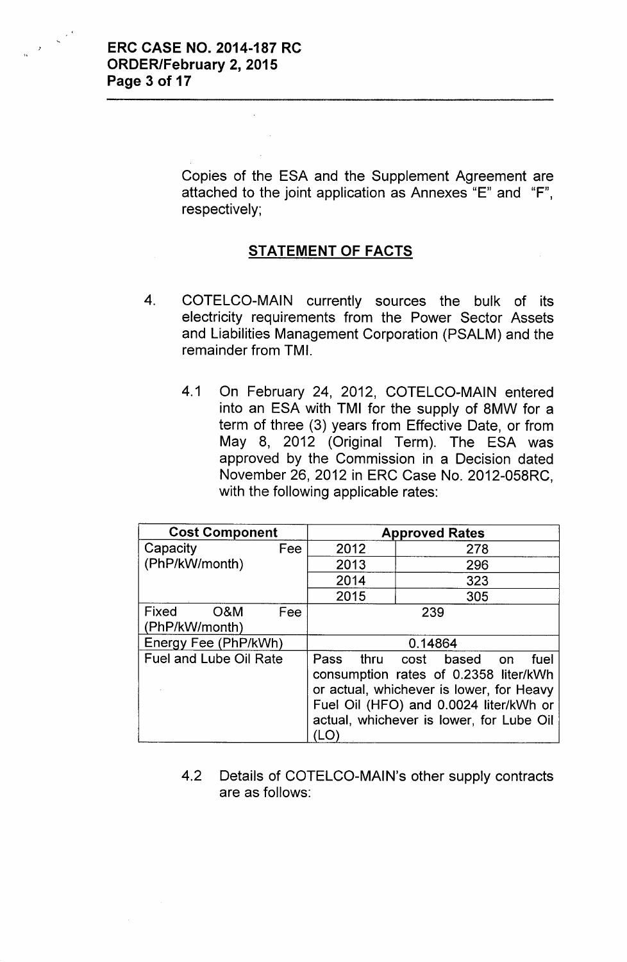Copies of the ESA and the Supplement Agreement are attached to the joint application as Annexes "E" and "F", respectively;

# STATEMENT OF FACTS

- 4. COTELCO-MAIN currently sources the bulk of its electricity requirements from the Power Sector Assets and Liabilities Management Corporation (PSALM) and the remainder from TMI.
	- 4.1 On February 24, 2012, COTELCO-MAIN entered into an ESA with TMI for the supply of 8MW for a term of three (3) years from Effective Date, or from May 8, 2012 (Original Term). The ESA was approved by the Commission in a Decision dated November 26,2012 in ERC Case No. 2012-058RC, with the following applicable rates:

| <b>Cost Component</b>                     |     | <b>Approved Rates</b>                                                                                                                                                                                             |     |  |  |
|-------------------------------------------|-----|-------------------------------------------------------------------------------------------------------------------------------------------------------------------------------------------------------------------|-----|--|--|
| Capacity                                  | Fee | 2012                                                                                                                                                                                                              | 278 |  |  |
| (PhP/kW/month)                            |     | 2013                                                                                                                                                                                                              | 296 |  |  |
|                                           |     | 2014                                                                                                                                                                                                              | 323 |  |  |
|                                           |     | 2015                                                                                                                                                                                                              | 305 |  |  |
| Fixed<br><b>O&amp;M</b><br>(PhP/kW/month) | Fee | 239                                                                                                                                                                                                               |     |  |  |
| Energy Fee (PhP/kWh)                      |     | 0.14864                                                                                                                                                                                                           |     |  |  |
| <b>Fuel and Lube Oil Rate</b>             |     | Pass thru cost based on<br>fuel<br>consumption rates of 0.2358 liter/kWh<br>or actual, whichever is lower, for Heavy<br>Fuel Oil (HFO) and 0.0024 liter/kWh or<br>actual, whichever is lower, for Lube Oil<br>LO. |     |  |  |

4.2 Details of COTELCO-MAIN's other supply contracts are as follows: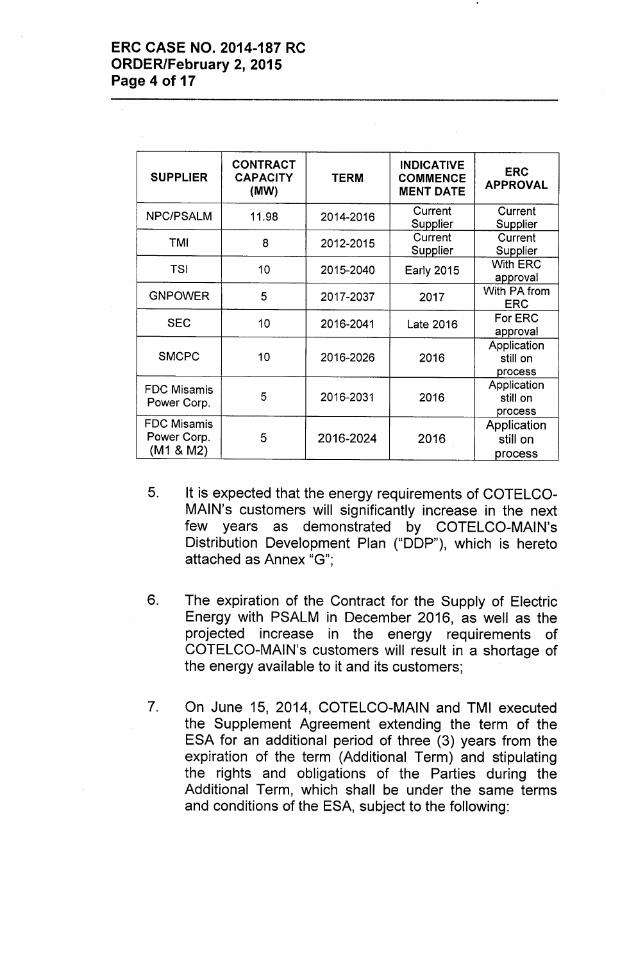| <b>SUPPLIER</b>                                | <b>CONTRACT</b><br><b>CAPACITY</b><br>(MW) | <b>TERM</b> | <b>INDICATIVE</b><br><b>COMMENCE</b><br><b>MENT DATE</b> | <b>ERC</b><br><b>APPROVAL</b>      |
|------------------------------------------------|--------------------------------------------|-------------|----------------------------------------------------------|------------------------------------|
| <b>NPC/PSALM</b>                               | 11.98                                      | 2014-2016   | Current<br>Supplier                                      | Current<br>Supplier                |
| TMI                                            | 8                                          | 2012-2015   | Current<br>Supplier                                      | Current<br>Supplier                |
| <b>TSI</b>                                     | 10                                         | 2015-2040   | <b>Early 2015</b>                                        | <b>With ERC</b><br>approval        |
| <b>GNPOWER</b>                                 | 5                                          | 2017-2037   | 2017                                                     | With PA from<br><b>ERC</b>         |
| <b>SEC</b>                                     | 10                                         | 2016-2041   | Late 2016                                                | For ERC<br>approval                |
| <b>SMCPC</b>                                   | 10                                         | 2016-2026   | 2016                                                     | Application<br>still on<br>process |
| <b>FDC Misamis</b><br>Power Corp.              | 5                                          | 2016-2031   | 2016                                                     | Application<br>still on<br>process |
| <b>FDC Misamis</b><br>Power Corp.<br>(M1 & M2) | 5                                          | 2016-2024   | 2016                                                     | Application<br>still on<br>process |

- 5. It is expected that the energy requirements of COTELCO-MAIN's customers will significantly increase in the next few years as demonstrated by COTELCO-MAIN's Distribution Development Plan ("DDP"), which is hereto attached as Annex "G";
- 6. The expiration of the Contract for the Supply of Electric Energy with PSALM in December 2016, as well as the projected increase in the energy requirements of COTELCO-MAIN's customers will result in a shortage of the energy available to it and its customers;
- 7. On June 15, 2014, COTELCO-MAIN and TMI executed the Supplement Agreement extending the term of the ESA for an additional period of three (3) years from the expiration of the term (Additional Term) and stipulating the rights and obligations of the Parties during the Additional Term, which shall be under the same terms and conditions of the ESA, subject to the following: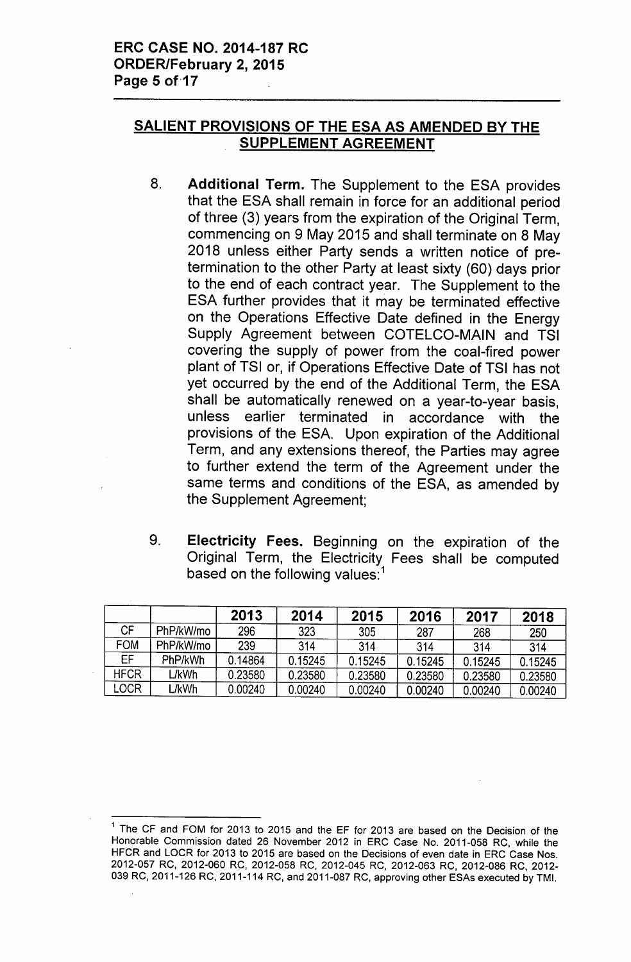# SALIENT PROVISIONS OF THE ESA AS AMENDED BY THE SUPPLEMENT AGREEMENT

- 8. Additional Term. The Supplement to the ESA provides that the ESA shall remain in force for an additional period of three (3) years from the expiration of the Original Term, commencing on 9 May 2015 and shall terminate on 8 May 2018 unless either Party sends a written notice of pretermination to the other Party at least sixty (60) days prior to the end of each contract year. The Supplement to the ESA further provides that it may be terminated effective on the Operations Effective Date defined in the Energy Supply Agreement between COTELCO-MAIN and TSI covering the supply of power from the coal-fired power plant of TSI or, if Operations Effective Date of TSI has not yet occurred by the end of the Additional Term, the ESA shall be automatically renewed on a year-to-year basis, unless earlier terminated in accordance with the provisions of the ESA. Upon expiration of the Additional Term, and any extensions thereof, the Parties may agree to further extend the term of the Agreement under the same terms and conditions of the ESA, as amended by the Supplement Agreement;
- 9. Electricity Fees. Beginning on the expiration of the Original Term, the Electricity Fees shall be computed based on the following values:<sup>1</sup>

|             |           | 2013    | 2014    | 2015    | 2016    | 2017    | 2018    |
|-------------|-----------|---------|---------|---------|---------|---------|---------|
| СF          | PhP/kW/mo | 296     | 323     | 305     | 287     | 268     | 250     |
| <b>FOM</b>  | PhP/kW/mo | 239     | 314     | 314     | 314     | 314     | 314     |
| EF          | PhP/kWh   | 0.14864 | 0.15245 | 0.15245 | 0.15245 | 0.15245 | 0.15245 |
| <b>HFCR</b> | L/kWh     | 0.23580 | 0.23580 | 0.23580 | 0.23580 | 0.23580 | 0.23580 |
| LOCR        | L/kWh     | 0.00240 | 0.00240 | 0.00240 | 0.00240 | 0.00240 | 0.00240 |

<sup>&</sup>lt;sup>1</sup> The CF and FOM for 2013 to 2015 and the EF for 2013 are based on the Decision of the Honorable Commission dated 26 November 2012 in ERC Case No. 2011-058 RC, while the HFCR and LOCR for 2013 to 2015 are based on the Decisions of even date in ERC Case Nos. 2012-057 RC, 2012-060 RC, 2012-058 RC, 2012-045 RC, 2012-063 RC, 2012-086 RC, 2012- 039 RC, 2011-126 RC, 2011-114 RC, and 2011-087 RC, approving other ESAs executed by TMI.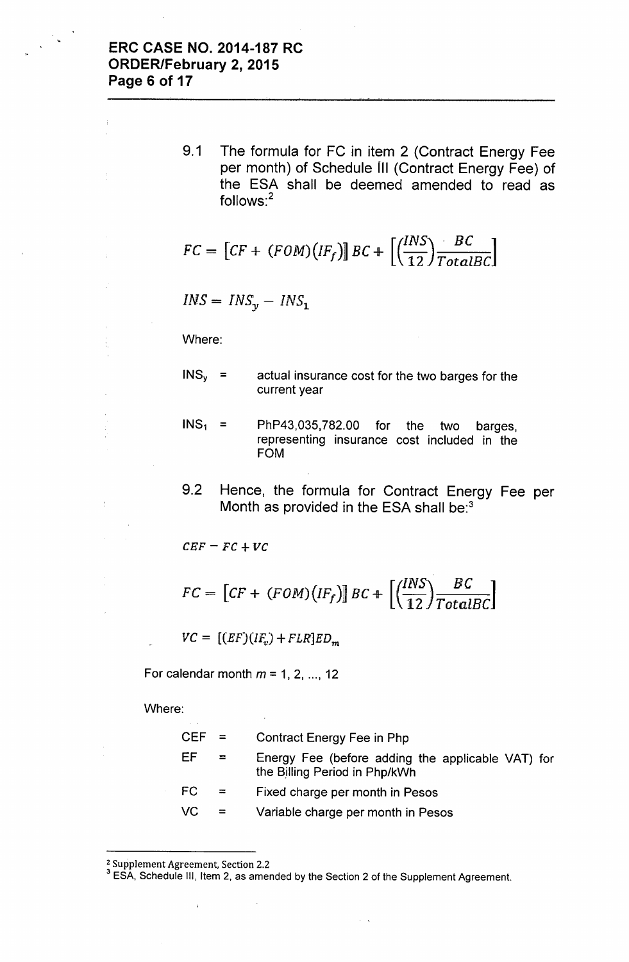9.1 The formula for FC in item 2 (Contract Energy Fee per month) of Schedule III (Contract Energy Fee) of the ESA shall be deemed amended to read as follows:<sup>2</sup>

$$
FC = [CF + (FOM)(IF_f)] BC + \left[ \left( \frac{INS}{12} \right) \frac{BC}{TotalBC} \right]
$$

 $INS = INS_y - INS_1$ 

Where:

- $INS<sub>y</sub>$  = actual insurance cost for the two barges for the current year
- $INS<sub>1</sub> =$ PhP43,035,782.00 for the two barges, representing insurance cost included in the FOM
- 9.2 Hence, the formula for Contract Energy Fee per Month as provided in the ESA shall be:<sup>3</sup>

 $CBF = FC + VC$ 

$$
FC = [CF + (FOM)(IF_f)] BC + \left[ \left( \frac{INS}{12} \right) \frac{BC}{TotalBC} \right]
$$

 $VC = [(EF)(IF_v) + FLR]ED_m$ 

 $\bar{z}$ 

For calendar month  $m = 1, 2, ..., 12$ 

Where:

| $CEF =$   |              | Contract Energy Fee in Php                                                         |
|-----------|--------------|------------------------------------------------------------------------------------|
| EF        | $\mathbf{r}$ | Energy Fee (before adding the applicable VAT) for<br>the Billing Period in Php/kWh |
| FC.       | $=$          | Fixed charge per month in Pesos                                                    |
| <b>VC</b> | $\equiv$     | Variable charge per month in Pesos                                                 |

<sup>2</sup> Supplement Agreement, Section 2.2

 $\hat{r}$ 

<sup>&</sup>lt;sup>3</sup> ESA, Schedule III, Item 2, as amended by the Section 2 of the Supplement Agreement.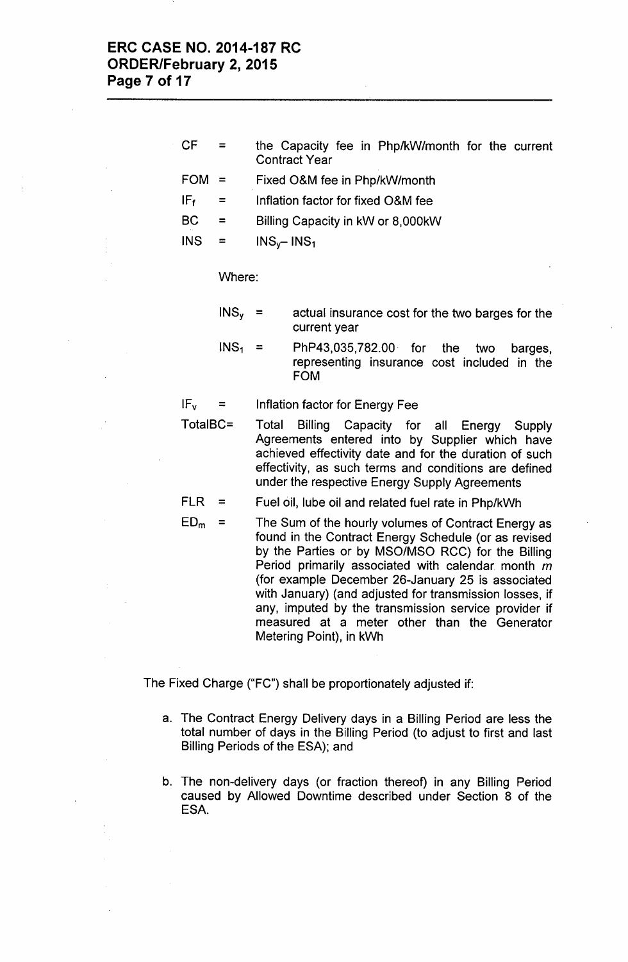- CF = the Capacity fee in Php/kW/month for the current Contract Year
- FOM = Fixed O&M fee in Php/kW/month
- $IF<sub>f</sub>$  = Inflation factor for fixed O&M fee
- BC = Billing Capacity in kW or 8,OOOkW

 $INS = INS_v - INS_1$ 

Where:

- $INS<sub>y</sub>$  = actual insurance cost for the two barges for the current year
- $INS<sub>1</sub>$  $=$ PhP43,035,782.00. for the two barges, representing insurance cost included in the FOM

 $IF_v$  = Inflation factor for Energy Fee

TotalBC= Total Billing Capacity for all Energy Supply Agreements entered into by Supplier which have achieved effectivity date and for the duration of such effectivity, as such terms and conditions are defined under the respective Energy Supply Agreements

FLR = Fuel oil, lube oil and related fuel rate in Php/kWh

**ED<sup>m</sup> =** The Sum of the hourly volumes of Contract Energy as found in the Contract Energy Schedule (or as revised by the Parties or by MSO/MSO RCC) for the Billing Period primarily associated with calendar month  $m$ (for example December 26-January 25 is associated with January) (and adjusted for transmission losses, if any, imputed by the transmission service provider if measured at a meter other than the Generator Metering Point), in kWh

The Fixed Charge ("FC") shall be proportionately adjusted if:

- a. The Contract Energy Delivery days in a Billing Period are less the total number of days in the Billing Period (to adjust to first and last Billing Periods of the ESA); and
- b. The non-delivery days (or fraction thereof) in any Billing Period caused by Allowed Downtime described under Section 8 of the ESA.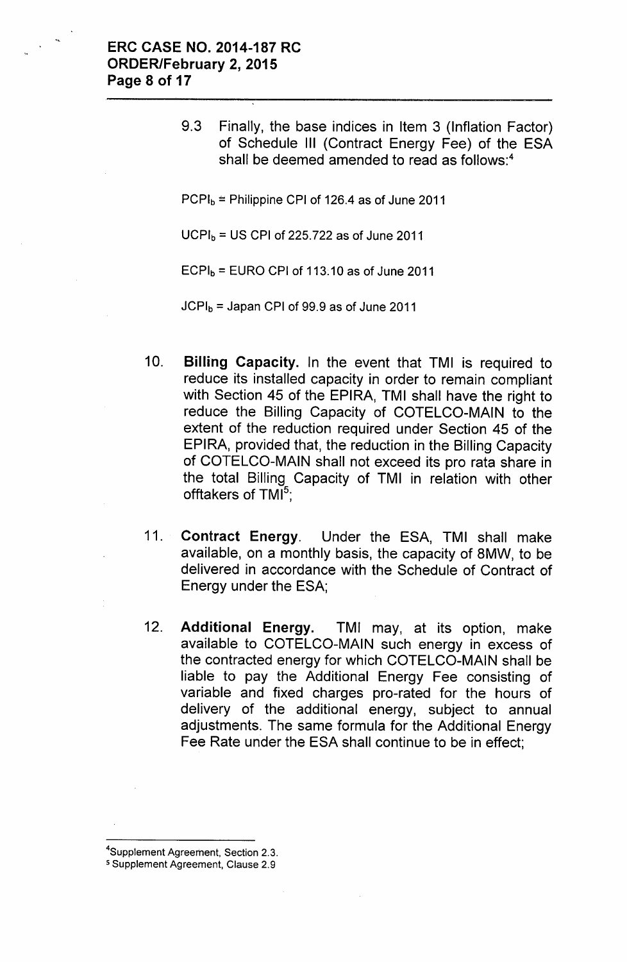9.3 Finally, the base indices in Item 3 (Inflation Factor) of Schedule III (Contract Energy Fee) of the ESA shall be deemed amended to read as follows:<sup>4</sup>

 $PCPI<sub>b</sub>$  = Philippine CPI of 126.4 as of June 2011

 $UCPI<sub>b</sub> = US CPU of 225.722 as of June 2011$ 

 $ECPI_b = EURO$  CPI of 113.10 as of June 2011

 $JCPI<sub>b</sub> = Japan CPI of 99.9 as of June 2011$ 

- 10. Billing Capacity. In the event that TMI is required to reduce its installed capacity in order to remain compliant with Section 45 of the EPIRA, TMI shall have the right to reduce the Billing Capacity of COTELCO-MAIN to the extent of the reduction required under Section 45 of the EPIRA, provided that, the reduction in the Billing Capacity of COTELCO-MAIN shall not exceed its pro rata share in the total Billing Capacity of TMI in relation with other offtakers of TMI $5$ ;
- 11. Contract Energy. Under the ESA, TMI shall make available, on a monthly basis, the capacity of 8MW, to be delivered in accordance with the Schedule of Contract of Energy under the ESA;
- 12. Additional Energy. TMI may, at its option, make available to COTELCO-MAIN such energy in excess of the contracted energy for which COTELCO-MAIN shall be liable to pay the Additional Energy Fee consisting of variable and fixed charges pro-rated for the hours of delivery of the additional energy, subject to annual adjustments. The same formula for the Additional Energy Fee Rate under the ESA shall continue to be in effect;

<sup>&</sup>lt;sup>4</sup>Supplement Agreement, Section 2.3.

<sup>5</sup> Supplement Agreement, Clause 2.9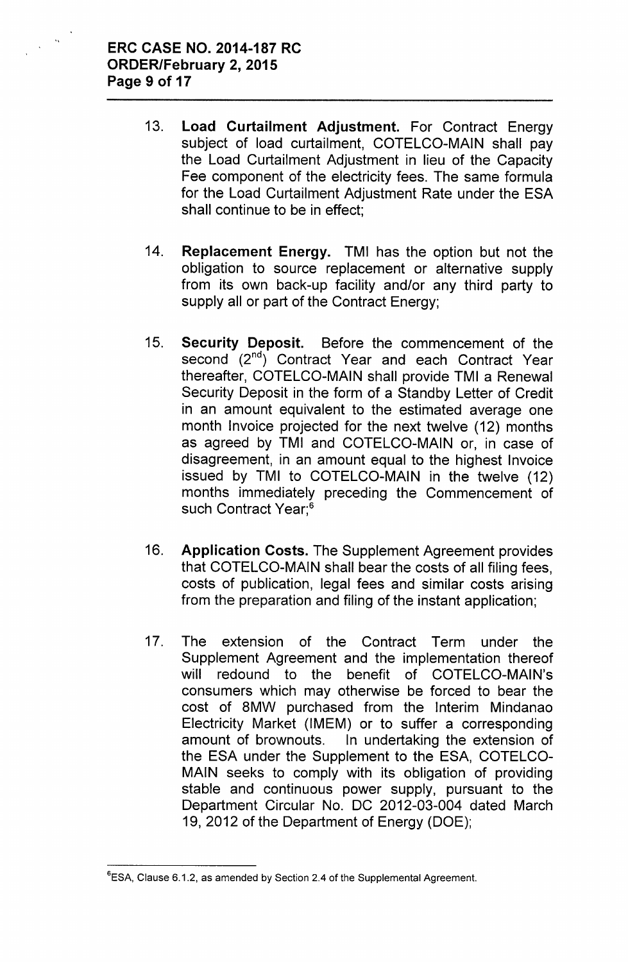$\Delta\Delta$ 

- 13. Load Curtailment Adjustment. For Contract Energy subject of load curtailment, COTELCO-MAIN shall pay the Load Curtailment Adjustment in lieu of the Capacity Fee component of the electricity fees. The same formula for the Load Curtailment Adjustment Rate under the ESA shall continue to be in effect;
- 14. Replacement Energy. TMI has the option but not the obligation to source replacement or alternative supply from its own back-up facility and/or any third party to supply all or part of the Contract Energy;
- 15. Security Deposit. Before the commencement of the second (2<sup>nd</sup>) Contract Year and each Contract Year thereafter, COTELCO-MAIN shall provide TMI a Renewal Security Deposit in the form of a Standby Letter of Credit in an amount equivalent to the estimated average one month Invoice projected for the next twelve (12) months as agreed by TMI and COTELCO-MAIN or, in case of disagreement, in an amount equal to the highest Invoice issued by TMI to COTELCO-MAIN in the twelve (12) months immediately preceding the Commencement of such Contract Year;<sup>6</sup>
- 16. Application Costs. The Supplement Agreement provides that COTELCO-MAIN shall bear the costs of all filing fees, costs of publication, legal fees and similar costs arising from the preparation and filing of the instant application;
- 17. The extension of the Contract Term under the Supplement Agreement and the implementation thereof will redound to the benefit of COTELCO-MAIN's consumers which may otherwise be forced to bear the cost of 8MW purchased from the Interim Mindanao Electricity Market (IMEM) or to suffer a corresponding amount of brownouts. In undertaking the extension of the ESA under the Supplement to the ESA, COTELCO-MAIN seeks to comply with its obligation of providing stable and continuous power supply, pursuant to the Department Circular No. DC 2012-03-004 dated March 19, 2012 of the Department of Energy (DOE);

<sup>&</sup>lt;sup>6</sup>ESA, Clause 6.1.2, as amended by Section 2.4 of the Supplemental Agreement.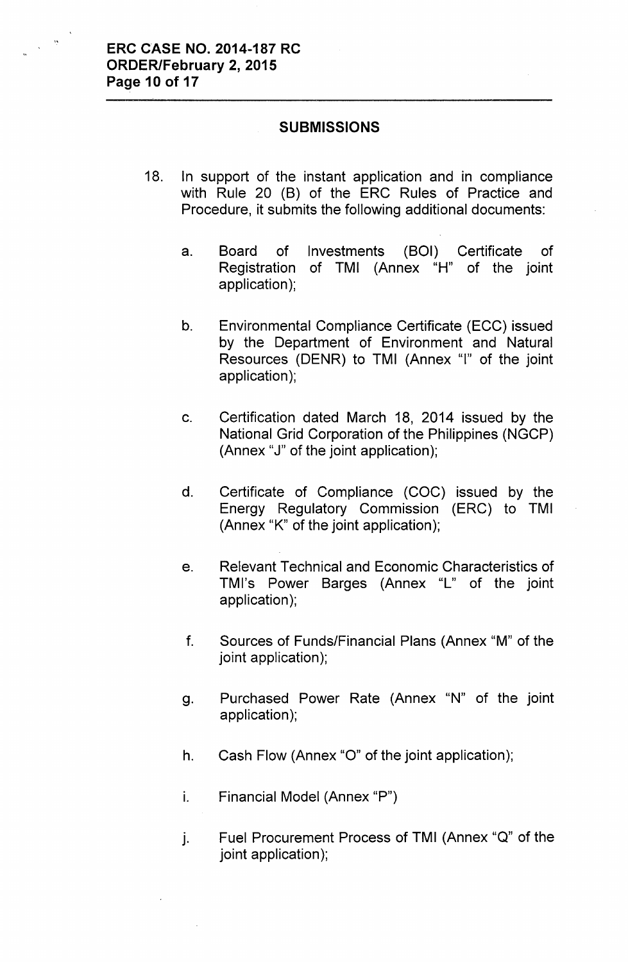#### **SUBMISSIONS**

- 18. In support of the instant application and in compliance with Rule 20 (B) of the ERC Rules of Practice and Procedure, it submits the following additional documents:
	- a. Board of Investments (BOI) Certificate of Registration of TMI (Annex "H" of the joint application);
	- b. Environmental Compliance Certificate (ECC) issued by the Department of Environment and Natural Resources (DENR) to TMI (Annex "I" of the joint application);
	- c. Certification dated March 18, 2014 issued by the National Grid Corporation of the Philippines (NGCP) (Annex "J" of the joint application);
	- d. Certificate of Compliance (COC) issued by the Energy Regulatory Commission (ERC) to TMI (Annex "K" of the joint application);
	- e. Relevant Technical and Economic Characteristics of TMl's Power Barges (Annex "L" of the joint application);
	- f. Sources of Funds/Financial Plans (Annex "M" of the joint application);
	- Q. Purchased Power Rate (Annex "N" of the joint application);
	- h. Cash Flow (Annex "0" of the joint application);
	- i. Financial Model (Annex "P")
	- j. Fuel Procurement Process of TMI (Annex "Q" of the joint application);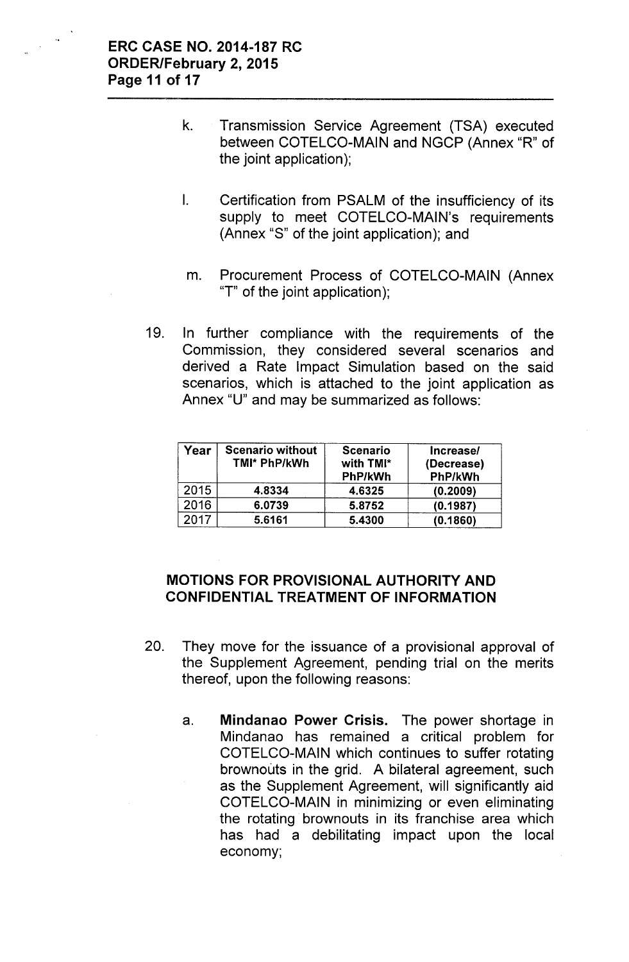- k. Transmission Service Agreement (TSA) executed between COTELCO-MAIN and NGCP (Annex "R" of the joint application);
- I. Certification from PSALM of the insufficiency of its supply to meet COTELCO-MAIN's requirements (Annex "S" of the joint application); and
- m. Procurement Process of COTELCO-MAIN (Annex "T" of the joint application);
- 19. In further compliance with the requirements of the Commission, they considered several scenarios and derived a Rate Impact Simulation based on the said scenarios, which is attached to the joint application as Annex "U" and may be summarized as follows:

| Year | <b>Scenario without</b><br>TMI* PhP/kWh | <b>Scenario</b><br>with TMI*<br><b>PhP/kWh</b> | Increase/<br>(Decrease)<br>PhP/kWh |
|------|-----------------------------------------|------------------------------------------------|------------------------------------|
| 2015 | 4.8334                                  | 4.6325                                         | (0.2009)                           |
| 2016 | 6.0739                                  | 5.8752                                         | (0.1987)                           |
| 2017 | 5.6161                                  | 5.4300                                         | (0.1860)                           |

# MOTIONS FOR PROVISIONAL AUTHORITY AND CONFIDENTIAL TREATMENT OF INFORMATION

- 20. They move for the issuance of a provisional approval of the Supplement Agreement, pending trial on the merits thereof, upon the following reasons:
	- a. Mindanao Power Crisis. The power shortage in Mindanao has remained a critical problem for COTELCO-MAIN which continues to suffer rotating brownouts in the grid. A bilateral agreement, such as the Supplement Agreement, will significantly aid COTELCO-MAIN in minimizing or even eliminating the rotating brownouts in its franchise area which has had a debilitating impact upon the local economy;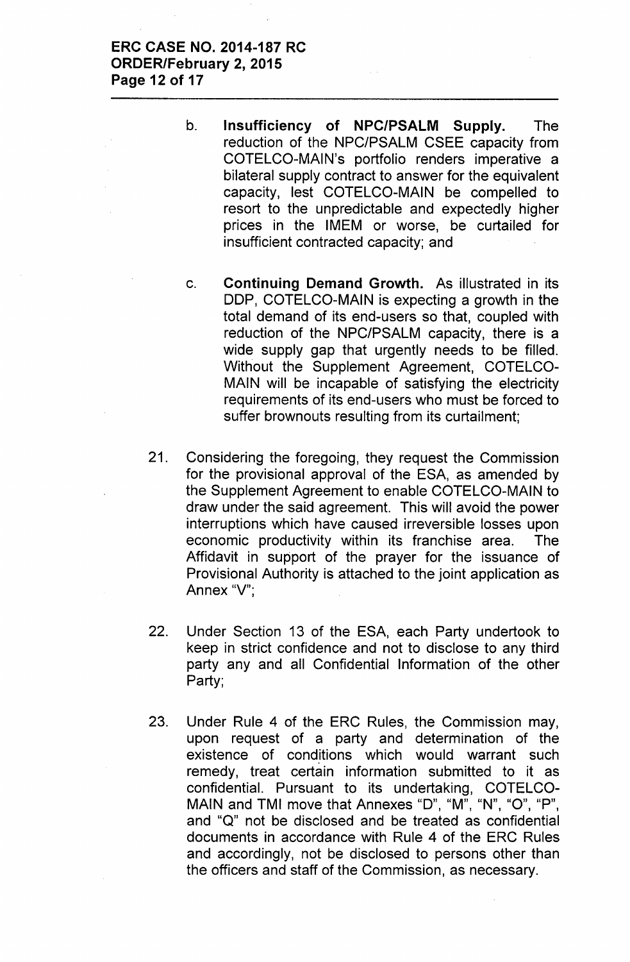- b. **Insufficiency of NPC/PSALM Supply.** The reduction of the NPC/PSALM CSEE capacity from COTELCO-MAIN's portfolio renders imperative a bilateral supply contract to answer for the equivalent capacity, lest COTELCO-MAIN be compelled to resort to the unpredictable and expectedly higher prices in the IMEM or worse, be curtailed for insufficient contracted capacity; and
- c. **Continuing Demand Growth.** As illustrated in its DDP, COTELCO-MAIN is expecting a growth in the total demand of its end-users so that, coupled with reduction of the NPC/PSALM capacity, there is a wide supply gap that urgently needs to be filled. Without the Supplement Agreement, COTELCO-MAIN will be incapable of satisfying the electricity requirements of its end-users who must be forced to suffer brownouts resulting from its curtailment;
- 21. Considering the foregoing, they request the Commission for the provisional approval of the ESA, as amended by the Supplement Agreement to enable COTELCO-MAIN to draw under the said agreement. This will avoid the power interruptions which have caused irreversible losses upon economic productivity within its franchise area. The Affidavit in support of the prayer for the issuance of Provisional Authority is attached to the joint application as Annex "V";
- 22. Under Section 13 of the ESA, each Party undertook to keep in strict confidence and not to disclose to any third party any and all Confidential Information of the other Party;
- 23. Under Rule 4 of the ERC Rules, the Commission may, upon request of a party and determination of the existence of conditions which would warrant such remedy, treat certain information submitted to it as confidential. Pursuant to its undertaking, COTELCO-MAIN and TMI move that Annexes "D", "M", "N", "O", "P", and "Q" not be disclosed and be treated as confidential documents in accordance with Rule 4 of the ERC Rules and accordingly, not be disclosed to persons other than the officers and staff of the Commission, as necessary.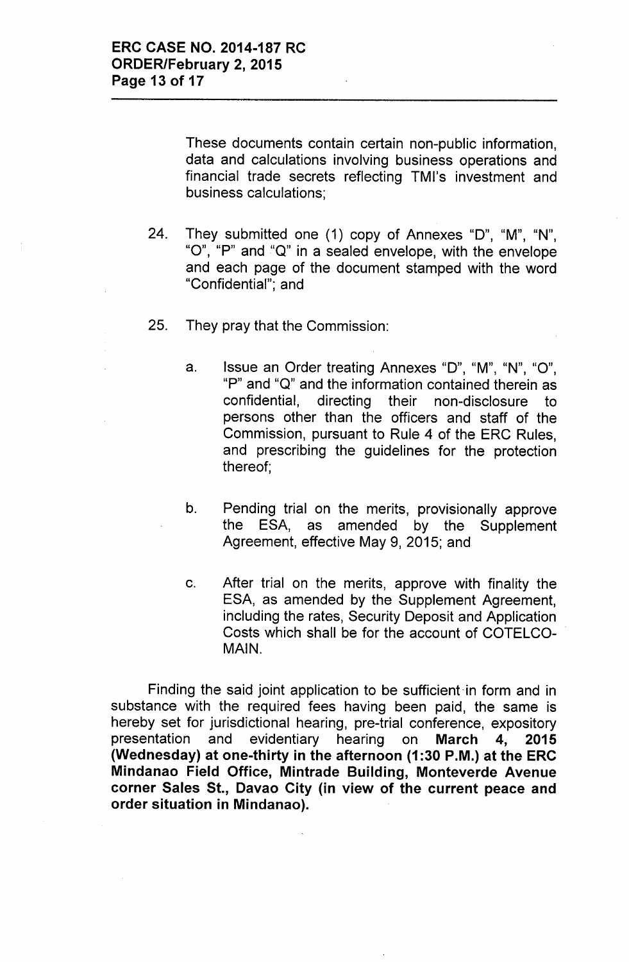These documents contain certain non-public information, data and calculations involving business operations and financial trade secrets reflecting TMl's investment and business calculations;

- 24. They submitted one (1) copy of Annexes "0", "M", "N", "0", "P" and "Q" in a sealed envelope, with the envelope and each page of the document stamped with the word "Confidential"; and
- 25. They pray that the Commission:
	- a. Issue an Order treating Annexes "D", "M", "N", "O", "P" and "Q" and the information contained therein as confidential, directing their non-disclosure to persons other than the officers and staff of the Commission, pursuant to Rule 4 of the ERC Rules, and prescribing the guidelines for the protection thereof;
	- b. Pending trial on the merits, provisionally approve the ESA, as amended by the Supplement Agreement, effective May 9, 2015; and
	- c. After trial on the merits, approve with finality the ESA, as amended by the Supplement Agreement, including the rates, Security Deposit and Application Costs which shall be for the account of COTELCO- . MAIN.

Finding the said joint application to be sufficient in form and in substance with the required fees having been paid, the same is hereby set for jurisdictional hearing, pre-trial conference, expository presentation and evidentiary hearing on March 4, 2015 (Wednesday) at one-thirty in the afternoon (1:30 P.M.) at the ERC Mindanao Field Office, Mintrade Building, Monteverde Avenue corner Sales St., Davao City (in view of the current peace and order situation in Mindanao).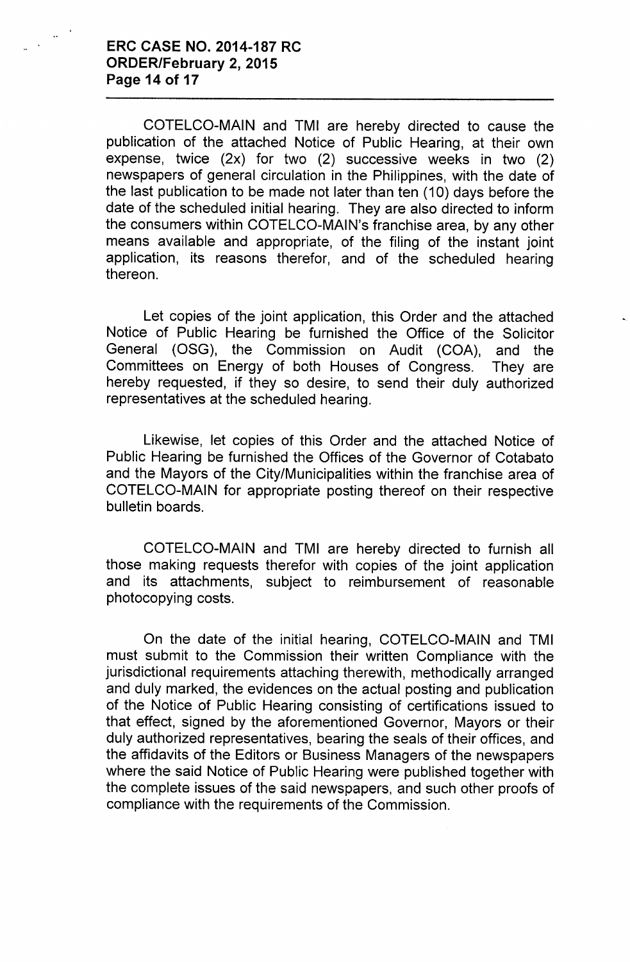#### **ERC CASE NO. 2014-187 RC ORDER/February 2, 2015 Page 14 of 17**

COTELCO-MAIN and TMI are hereby directed to cause the publication of the attached Notice of Public Hearing, at their own expense, twice (2x) for two (2) successive weeks in two (2) newspapers of general circulation in the Philippines, with the date of the last publication to be made not later than ten (10) days before the date of the scheduled initial hearing. They are also directed to inform the consumers within COTELCO-MAIN's franchise area, by any other means available and appropriate, of the filing of the instant joint application, its reasons therefor, and of the scheduled hearing thereon.

Let copies of the joint application, this Order and the attached Notice of Public Hearing be furnished the Office of the Solicitor General (OSG), the Commission on Audit (COA), and the Committees on Energy of both Houses of Congress. They are hereby requested, if they so desire, to send their duly authorized representatives at the scheduled hearing.

Likewise, let copies of this Order and the attached Notice of Public Hearing be furnished the Offices of the Governor of Cotabato and the Mayors of the City/Municipalities within the franchise area of COTELCO-MAIN for appropriate posting thereof on their respective bulletin boards.

COTELCO-MAIN and TMI are hereby directed to furnish all those making requests therefor with copies of the joint application and its attachments, subject to reimbursement of reasonable photocopying costs.

On the date of the initial hearing, COTELCO-MAIN and TMI must submit to the Commission their written Compliance with the jurisdictional requirements attaching therewith, methodically arranged and duly marked, the evidences on the actual posting and publication of the Notice of Public Hearing consisting of certifications issued to that effect, signed by the aforementioned Governor, Mayors or their duly authorized representatives, bearing the seals of their offices, and the affidavits of the Editors or Business Managers of the newspapers where the said Notice of Public Hearing were published together with the complete issues of the said newspapers, and such other proofs of compliance with the requirements of the Commission.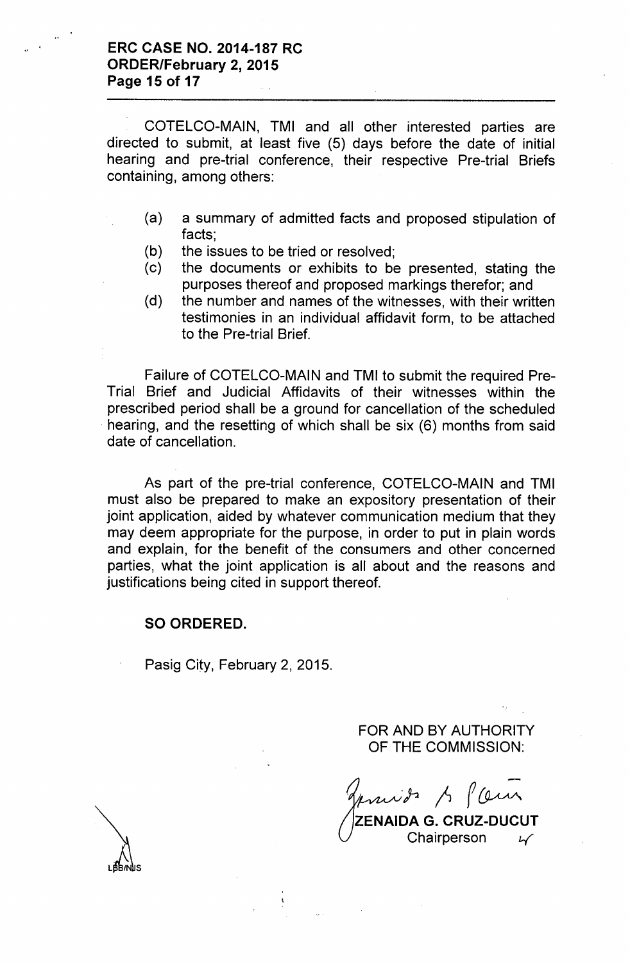COTELCO-MAIN, TMI and all other interested parties are directed to submit, at least five (5) days before the date of initial hearing and pre-trial conference, their respective Pre-trial Briefs containing, among others:

- (a) a summary of admitted facts and proposed stipulation of facts;
- (b) the issues to be tried or resolved;
- (c) the documents or exhibits to be presented, stating the purposes thereof and proposed markings therefor; and
- (d) the number and names of the witnesses, with their written testimonies in an individual affidavit form, to be attached to the Pre-trial Brief.

Failure of COTELCO-MAIN and TMI to submit the required Pre-Trial Brief and Judicial Affidavits of their witnesses within the prescribed period shall be a ground for cancellation of the scheduled hearing, and the resetting of which shall be six (6) months from said date of cancellation.

As part of the pre-trial conference, COTELCO-MAIN and TMI must also be prepared to make an expository presentation of their joint application, aided by whatever communication medium that they may deem appropriate for the purpose, in order to put in plain words and explain, for the benefit of the consumers and other concerned parties, what the joint application is all about and the reasons and justifications being cited in support thereof.

#### SO ORDERED.

Pasig City, February 2, 2015.

FOR AND BY AUTHORITY OF THE COMMISSION:

 $m$ i) p $\int f(\omega)$ 

ZENAIDA G. CRUZ-DUCUT Chairperson *l-.(*

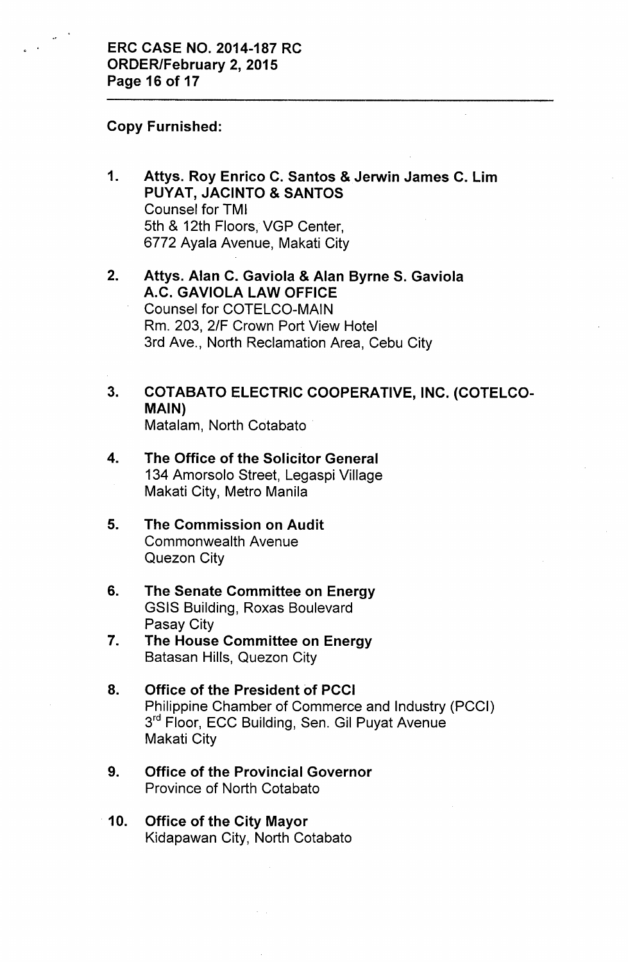### Copy Furnished:

- 1. Attys. Roy Enrico C. Santos & Jerwin James C. Lim PUYAT, JACINTO & SANTOS Counsel for TMI 5th & 12th Floors, VGP Center, 6772 Ayala Avenue, Makati City
- 2. Attys. Alan C. Gaviola & Alan Byrne S. Gaviola A.C. GAVIOLA LAW OFFICE Counsel for COTELCO-MAIN Rm. 203, 2/F Crown Port View Hotel 3rd Ave., North Reclamation Area, Cebu City
- 3. COTABATO ELECTRIC COOPERATIVE, INC. (COTELCO-MAIN) Matalam, North Cotabato

# 4. The Office of the Solicitor General 134 Amorsolo Street, Legaspi Village Makati City, Metro Manila

- 5. The Commission on Audit Commonwealth Avenue Quezon City
- 6. The Senate Committee on Energy GSIS Building, Roxas Boulevard Pasay City
- 7. The House Committee on Energy Batasan Hills, Quezon City
- 8. Office of the President of PCCI Philippine Chamber of Commerce and Industry (PCCI) 3<sup>rd</sup> Floor, ECC Building, Sen. Gil Puyat Avenue Makati City
- 9. Office of the Provincial Governor Province of North Cotabato
- 10. Office of the City Mayor Kidapawan City, North Cotabato